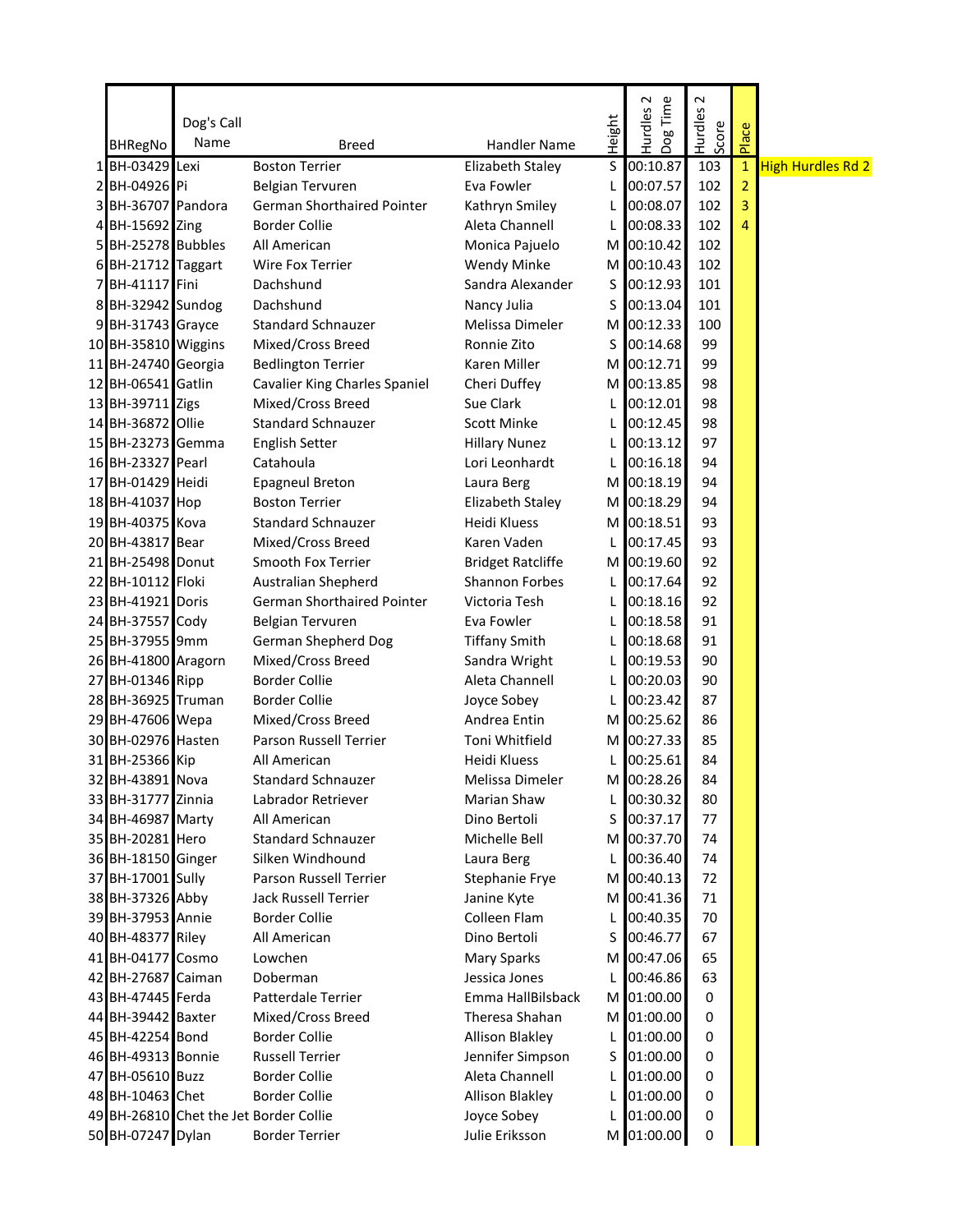|    |                       |            |                                        |                          |        | $\sim$              | $\sim$  |                |                          |
|----|-----------------------|------------|----------------------------------------|--------------------------|--------|---------------------|---------|----------------|--------------------------|
|    |                       | Dog's Call |                                        |                          | Height | Dog Time<br>Hurdles | Hurdles |                |                          |
|    | <b>BHRegNo</b>        | Name       | <b>Breed</b>                           | Handler Name             |        |                     | Score   | Place          |                          |
|    | 1 BH-03429 Lexi       |            | <b>Boston Terrier</b>                  | Elizabeth Staley         | S      | 00:10.87            | 103     | $\mathbf{1}$   | <b>High Hurdles Rd 2</b> |
|    | 2 BH-04926 Pi         |            | Belgian Tervuren                       | Eva Fowler               | L      | 00:07.57            | 102     | $\overline{2}$ |                          |
|    | 3 BH-36707 Pandora    |            | German Shorthaired Pointer             | Kathryn Smiley           | L      | 00:08.07            | 102     | 3              |                          |
| 4  | BH-15692 Zing         |            | <b>Border Collie</b>                   | Aleta Channell           | L      | 00:08.33            | 102     | 4              |                          |
| 5  | BH-25278 Bubbles      |            | All American                           | Monica Pajuelo           | М      | 00:10.42            | 102     |                |                          |
|    | 6 BH-21712 Taggart    |            | Wire Fox Terrier                       | <b>Wendy Minke</b>       | M      | 00:10.43            | 102     |                |                          |
|    | 7 BH-41117 Fini       |            | Dachshund                              | Sandra Alexander         | S      | 00:12.93            | 101     |                |                          |
|    | 8 BH-32942 Sundog     |            | Dachshund                              | Nancy Julia              | S      | 00:13.04            | 101     |                |                          |
|    | 9 BH-31743 Grayce     |            | <b>Standard Schnauzer</b>              | Melissa Dimeler          | M      | 00:12.33            | 100     |                |                          |
|    | 10 BH-35810 Wiggins   |            | Mixed/Cross Breed                      | Ronnie Zito              | S      | 00:14.68            | 99      |                |                          |
|    | 11 BH-24740 Georgia   |            | <b>Bedlington Terrier</b>              | Karen Miller             | М      | 00:12.71            | 99      |                |                          |
|    | 12 BH-06541 Gatlin    |            | <b>Cavalier King Charles Spaniel</b>   | Cheri Duffey             | М      | 00:13.85            | 98      |                |                          |
|    | 13 BH-39711 Zigs      |            | Mixed/Cross Breed                      | Sue Clark                | L      | 00:12.01            | 98      |                |                          |
|    | 14 BH-36872 Ollie     |            | <b>Standard Schnauzer</b>              | Scott Minke              | L      | 00:12.45            | 98      |                |                          |
|    | 15 BH-23273 Gemma     |            | <b>English Setter</b>                  | <b>Hillary Nunez</b>     | L      | 00:13.12            | 97      |                |                          |
|    | 16 BH-23327 Pearl     |            | Catahoula                              | Lori Leonhardt           | L      | 00:16.18            | 94      |                |                          |
|    | 17 BH-01429 Heidi     |            | <b>Epagneul Breton</b>                 | Laura Berg               | M I    | 00:18.19            | 94      |                |                          |
|    | 18 BH-41037 Hop       |            | <b>Boston Terrier</b>                  | Elizabeth Staley         |        | M 00:18.29          | 94      |                |                          |
|    | 19 BH-40375 Kova      |            | <b>Standard Schnauzer</b>              | Heidi Kluess             | M l    | 00:18.51            | 93      |                |                          |
|    | 20 BH-43817 Bear      |            | Mixed/Cross Breed                      | Karen Vaden              | L      | 00:17.45            | 93      |                |                          |
| 21 | <b>BH-25498</b> Donut |            | Smooth Fox Terrier                     | <b>Bridget Ratcliffe</b> | М      | 00:19.60            | 92      |                |                          |
|    | 22 BH-10112 Floki     |            | Australian Shepherd                    | <b>Shannon Forbes</b>    | L      | 00:17.64            | 92      |                |                          |
|    | 23 BH-41921 Doris     |            | <b>German Shorthaired Pointer</b>      | Victoria Tesh            | L      | 00:18.16            | 92      |                |                          |
|    | 24 BH-37557 Cody      |            | Belgian Tervuren                       | Eva Fowler               | L      | 00:18.58            | 91      |                |                          |
|    | 25 BH-37955 9mm       |            | German Shepherd Dog                    | <b>Tiffany Smith</b>     | L      | 00:18.68            | 91      |                |                          |
|    | 26 BH-41800 Aragorn   |            | Mixed/Cross Breed                      | Sandra Wright            | L      | 00:19.53            | 90      |                |                          |
|    | 27 BH-01346 Ripp      |            | <b>Border Collie</b>                   | Aleta Channell           | L      | 00:20.03            | 90      |                |                          |
|    | 28 BH-36925 Truman    |            | <b>Border Collie</b>                   | Joyce Sobey              | L      | 00:23.42            | 87      |                |                          |
|    | 29 BH-47606 Wepa      |            | Mixed/Cross Breed                      | Andrea Entin             | M      | 00:25.62            | 86      |                |                          |
|    | 30 BH-02976 Hasten    |            | Parson Russell Terrier                 | Toni Whitfield           | M      | 00:27.33            | 85      |                |                          |
|    | 31 BH-25366 Kip       |            | All American                           | Heidi Kluess             | L      | 00:25.61            | 84      |                |                          |
|    | 32 BH-43891 Nova      |            | Standard Schnauzer                     | Melissa Dimeler          | M      | 00:28.26            | 84      |                |                          |
|    | 33 BH-31777 Zinnia    |            | Labrador Retriever                     | Marian Shaw              | L      | 00:30.32            | 80      |                |                          |
|    | 34 BH-46987 Marty     |            | All American                           | Dino Bertoli             | S      | 00:37.17            | 77      |                |                          |
|    | 35 BH-20281 Hero      |            | <b>Standard Schnauzer</b>              | Michelle Bell            |        | M 00:37.70          | 74      |                |                          |
|    | 36 BH-18150 Ginger    |            | Silken Windhound                       | Laura Berg               | L      | 00:36.40            | 74      |                |                          |
|    | 37 BH-17001 Sully     |            | Parson Russell Terrier                 | Stephanie Frye           | M      | 00:40.13            | 72      |                |                          |
|    | 38 BH-37326 Abby      |            | Jack Russell Terrier                   | Janine Kyte              | M      | 00:41.36            | 71      |                |                          |
|    | 39 BH-37953 Annie     |            | <b>Border Collie</b>                   | Colleen Flam             | L      | 00:40.35            | 70      |                |                          |
|    | 40 BH-48377 Riley     |            | All American                           | Dino Bertoli             | S      | 00:46.77            | 67      |                |                          |
|    | 41 BH-04177 Cosmo     |            | Lowchen                                | <b>Mary Sparks</b>       |        | M 00:47.06          | 65      |                |                          |
|    | 42 BH-27687 Caiman    |            | Doberman                               | Jessica Jones            | L      | 00:46.86            | 63      |                |                          |
|    | 43 BH-47445 Ferda     |            | Patterdale Terrier                     | Emma HallBilsback        |        | M 01:00.00          | 0       |                |                          |
|    | 44 BH-39442 Baxter    |            | Mixed/Cross Breed                      | Theresa Shahan           |        | M 01:00.00          | 0       |                |                          |
|    | 45 BH-42254 Bond      |            | <b>Border Collie</b>                   | <b>Allison Blakley</b>   | L      | 01:00.00            | 0       |                |                          |
|    | 46 BH-49313 Bonnie    |            | <b>Russell Terrier</b>                 | Jennifer Simpson         | S      | 01:00.00            | 0       |                |                          |
|    | 47 BH-05610 Buzz      |            | <b>Border Collie</b>                   | Aleta Channell           | L      | 01:00.00            | 0       |                |                          |
|    | 48 BH-10463 Chet      |            | <b>Border Collie</b>                   | <b>Allison Blakley</b>   | L      | 01:00.00            | 0       |                |                          |
|    |                       |            | 49 BH-26810 Chet the Jet Border Collie | Joyce Sobey              | L      | 01:00.00            | 0       |                |                          |
|    | 50 BH-07247 Dylan     |            | <b>Border Terrier</b>                  | Julie Eriksson           |        | M 01:00.00          | 0       |                |                          |